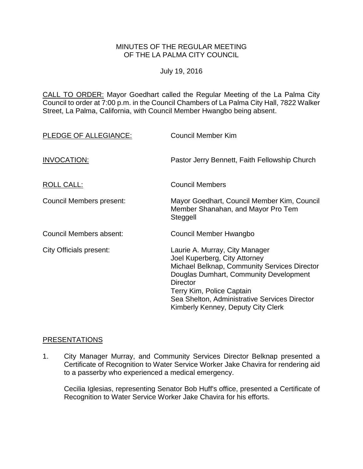#### MINUTES OF THE REGULAR MEETING OF THE LA PALMA CITY COUNCIL

July 19, 2016

CALL TO ORDER: [Mayor Goedhart called the Regular Meeting of the La Palma City](http://lapalma.granicus.com/MediaPlayer.php?view_id=&clip_id=1025&meta_id=135107)  [Council to order at 7:00 p.m. in the Council Chambers of La Palma City Hall, 7822 Walker](http://lapalma.granicus.com/MediaPlayer.php?view_id=&clip_id=1025&meta_id=135107)  [Street, La Palma, California, with Council Member Hwangbo being absent.](http://lapalma.granicus.com/MediaPlayer.php?view_id=&clip_id=1025&meta_id=135107)

| PLEDGE OF ALLEGIANCE:           | <b>Council Member Kim</b>                                                                                                                                                                                                                                                                        |
|---------------------------------|--------------------------------------------------------------------------------------------------------------------------------------------------------------------------------------------------------------------------------------------------------------------------------------------------|
| INVOCATION:                     | Pastor Jerry Bennett, Faith Fellowship Church                                                                                                                                                                                                                                                    |
| ROLL CALL:                      | <b>Council Members</b>                                                                                                                                                                                                                                                                           |
| <b>Council Members present:</b> | Mayor Goedhart, Council Member Kim, Council<br>Member Shanahan, and Mayor Pro Tem<br>Steggell                                                                                                                                                                                                    |
| Council Members absent:         | Council Member Hwangbo                                                                                                                                                                                                                                                                           |
| City Officials present:         | Laurie A. Murray, City Manager<br>Joel Kuperberg, City Attorney<br>Michael Belknap, Community Services Director<br>Douglas Dumhart, Community Development<br><b>Director</b><br>Terry Kim, Police Captain<br>Sea Shelton, Administrative Services Director<br>Kimberly Kenney, Deputy City Clerk |

#### [PRESENTATIONS](http://lapalma.granicus.com/MediaPlayer.php?view_id=&clip_id=1025&meta_id=135111)

1. [City Manager Murray, and Community Services Director Belknap presented a](http://lapalma.granicus.com/MediaPlayer.php?view_id=&clip_id=1025&meta_id=135112)  [Certificate of Recognition to Water Service Worker Jake Chavira for rendering aid](http://lapalma.granicus.com/MediaPlayer.php?view_id=&clip_id=1025&meta_id=135112)  [to a passerby who experienced a medical emergency.](http://lapalma.granicus.com/MediaPlayer.php?view_id=&clip_id=1025&meta_id=135112)

Cecilia Iglesias, representing Senator Bob Huff's office, presented a Certificate of Recognition to Water Service Worker Jake Chavira for his efforts.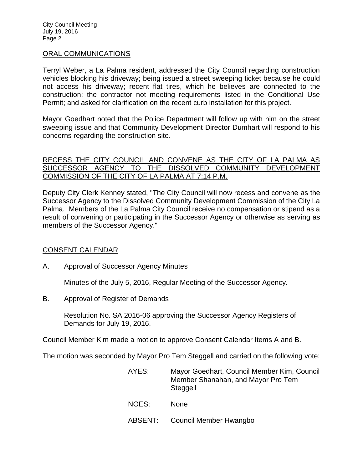#### [ORAL COMMUNICATIONS](http://lapalma.granicus.com/MediaPlayer.php?view_id=&clip_id=1025&meta_id=135115)

Terryl Weber, a La Palma resident, addressed the City Council regarding construction vehicles blocking his driveway; being issued a street sweeping ticket because he could not access his driveway; recent flat tires, which he believes are connected to the construction; the contractor not meeting requirements listed in the Conditional Use Permit; and asked for clarification on the recent curb installation for this project.

Mayor Goedhart noted that the Police Department will follow up with him on the street sweeping issue and that Community Development Director Dumhart will respond to his concerns regarding the construction site.

#### RECESS THE CITY COUNCIL AND CONVENE AS THE CITY OF LA PALMA AS [SUCCESSOR AGENCY TO THE DISSOLVED COMMUNITY DEVELOPMENT](http://lapalma.granicus.com/MediaPlayer.php?view_id=&clip_id=1025&meta_id=135118)  [COMMISSION OF THE CITY OF LA PALMA AT 7:14 P.M.](http://lapalma.granicus.com/MediaPlayer.php?view_id=&clip_id=1025&meta_id=135118)

Deputy City Clerk Kenney stated, "The City Council will now recess and convene as the Successor Agency to the Dissolved Community Development Commission of the City La Palma. Members of the La Palma City Council receive no compensation or stipend as a result of convening or participating in the Successor Agency or otherwise as serving as members of the Successor Agency."

## [CONSENT CALENDAR](http://lapalma.granicus.com/MediaPlayer.php?view_id=&clip_id=1025&meta_id=135119)

A. Approval of Successor Agency Minutes

Minutes of the July 5, 2016, Regular Meeting of the Successor Agency.

B. Approval of Register of Demands

Resolution No. SA 2016-06 approving the Successor Agency Registers of Demands for July 19, 2016.

Council Member Kim made a motion to approve Consent Calendar Items A and B.

The motion was seconded by Mayor Pro Tem Steggell and carried on the following vote:

| AYES:   | Mayor Goedhart, Council Member Kim, Council<br>Member Shanahan, and Mayor Pro Tem<br>Steggell |
|---------|-----------------------------------------------------------------------------------------------|
| NOES:   | <b>None</b>                                                                                   |
| ABSENT: | Council Member Hwangbo                                                                        |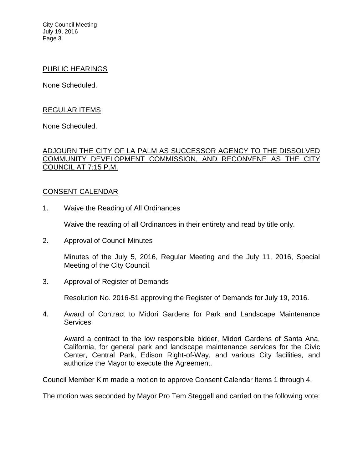City Council Meeting July 19, 2016 Page 3

#### PUBLIC HEARINGS

None Scheduled.

## REGULAR ITEMS

None Scheduled.

## ADJOURN THE CITY OF LA [PALM AS SUCCESSOR AGENCY TO THE DISSOLVED](http://lapalma.granicus.com/MediaPlayer.php?view_id=&clip_id=1025&meta_id=135124)  [COMMUNITY DEVELOPMENT COMMISSION, AND RECONVENE AS THE CITY](http://lapalma.granicus.com/MediaPlayer.php?view_id=&clip_id=1025&meta_id=135124)  [COUNCIL AT 7:15 P.M.](http://lapalma.granicus.com/MediaPlayer.php?view_id=&clip_id=1025&meta_id=135124)

## [CONSENT CALENDAR](http://lapalma.granicus.com/MediaPlayer.php?view_id=&clip_id=1025&meta_id=135126)

1. Waive the Reading of All Ordinances

Waive the reading of all Ordinances in their entirety and read by title only.

2. Approval of Council Minutes

Minutes of the July 5, 2016, Regular Meeting and the July 11, 2016, Special Meeting of the City Council.

3. Approval of Register of Demands

Resolution No. 2016-51 approving the Register of Demands for July 19, 2016.

4. Award of Contract to Midori Gardens for Park and Landscape Maintenance **Services** 

Award a contract to the low responsible bidder, Midori Gardens of Santa Ana, California, for general park and landscape maintenance services for the Civic Center, Central Park, Edison Right-of-Way, and various City facilities, and authorize the Mayor to execute the Agreement.

Council Member Kim made a motion to approve Consent Calendar Items 1 through 4.

The motion was seconded by Mayor Pro Tem Steggell and carried on the following vote: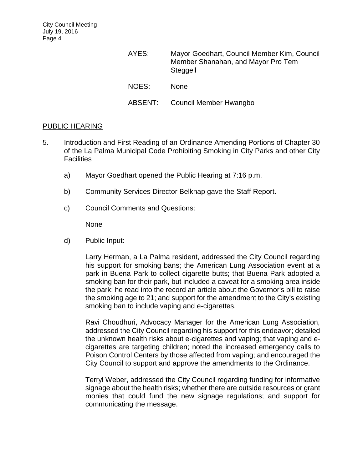| AYES:   | Mayor Goedhart, Council Member Kim, Council<br>Member Shanahan, and Mayor Pro Tem<br>Steggell |
|---------|-----------------------------------------------------------------------------------------------|
| NOES:   | <b>None</b>                                                                                   |
| ABSENT: | Council Member Hwangbo                                                                        |

## PUBLIC HEARING

- 5. [Introduction and First Reading of an Ordinance Amending Portions of Chapter 30](http://lapalma.granicus.com/MediaPlayer.php?view_id=&clip_id=1025&meta_id=135131)  [of the La Palma Municipal Code Prohibiting Smoking in City Parks and other City](http://lapalma.granicus.com/MediaPlayer.php?view_id=&clip_id=1025&meta_id=135131)  **[Facilities](http://lapalma.granicus.com/MediaPlayer.php?view_id=&clip_id=1025&meta_id=135131)** 
	- a) [Mayor Goedhart opened the](http://lapalma.granicus.com/MediaPlayer.php?view_id=&clip_id=1025&meta_id=135132) Public Hearing at 7:16 p.m.
	- b) [Community Services Director Belknap gave the](http://lapalma.granicus.com/MediaPlayer.php?view_id=&clip_id=1025&meta_id=135133) Staff Report.
	- c) [Council Comments and Questions:](http://lapalma.granicus.com/MediaPlayer.php?view_id=&clip_id=1025&meta_id=135135)

None

d) [Public Input:](http://lapalma.granicus.com/MediaPlayer.php?view_id=&clip_id=1025&meta_id=135137)

Larry Herman, a La Palma resident, addressed the City Council regarding his support for smoking bans; the American Lung Association event at a park in Buena Park to collect cigarette butts; that Buena Park adopted a smoking ban for their park, but included a caveat for a smoking area inside the park; he read into the record an article about the Governor's bill to raise the smoking age to 21; and support for the amendment to the City's existing smoking ban to include vaping and e-cigarettes.

Ravi Choudhuri, Advocacy Manager for the American Lung Association, addressed the City Council regarding his support for this endeavor; detailed the unknown health risks about e-cigarettes and vaping; that vaping and ecigarettes are targeting children; noted the increased emergency calls to Poison Control Centers by those affected from vaping; and encouraged the City Council to support and approve the amendments to the Ordinance.

Terryl Weber, addressed the City Council regarding funding for informative signage about the health risks; whether there are outside resources or grant monies that could fund the new signage regulations; and support for communicating the message.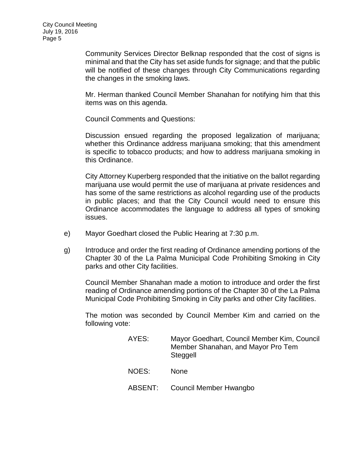Community Services Director Belknap responded that the cost of signs is minimal and that the City has set aside funds for signage; and that the public will be notified of these changes through City Communications regarding the changes in the smoking laws.

Mr. Herman thanked Council Member Shanahan for notifying him that this items was on this agenda.

Council Comments and Questions:

Discussion ensued regarding the proposed legalization of marijuana; whether this Ordinance address marijuana smoking; that this amendment is specific to tobacco products; and how to address marijuana smoking in this Ordinance.

City Attorney Kuperberg responded that the initiative on the ballot regarding marijuana use would permit the use of marijuana at private residences and has some of the same restrictions as alcohol regarding use of the products in public places; and that the City Council would need to ensure this Ordinance accommodates the language to address all types of smoking issues.

- e) Mayor Goedhart closed the [Public Hearing at 7:30 p.m.](http://lapalma.granicus.com/MediaPlayer.php?view_id=&clip_id=1025&meta_id=135146)
- g) Introduce and order the first reading of Ordinance amending portions of the Chapter 30 of the La Palma Municipal Code Prohibiting Smoking in City parks and other City facilities.

Council Member Shanahan made a motion to introduce and order the first reading of Ordinance amending portions of the Chapter 30 of the La Palma Municipal Code Prohibiting Smoking in City parks and other City facilities.

The motion was seconded by Council Member Kim and carried on the following vote:

| AYES:   | Mayor Goedhart, Council Member Kim, Council<br>Member Shanahan, and Mayor Pro Tem<br>Steggell |
|---------|-----------------------------------------------------------------------------------------------|
| NOES:   | <b>None</b>                                                                                   |
| ABSENT: | Council Member Hwangbo                                                                        |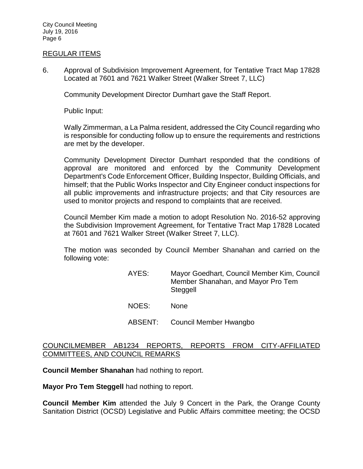City Council Meeting July 19, 2016 Page 6

#### REGULAR ITEMS

6. [Approval of Subdivision Improvement Agreement, for Tentative Tract Map 17828](http://lapalma.granicus.com/MediaPlayer.php?view_id=&clip_id=1025&meta_id=135151)  [Located at 7601 and 7621 Walker Street \(Walker Street 7, LLC\)](http://lapalma.granicus.com/MediaPlayer.php?view_id=&clip_id=1025&meta_id=135151)

Community Development Director Dumhart gave the Staff Report.

Public Input:

Wally Zimmerman, a La Palma resident, addressed the City Council regarding who is responsible for conducting follow up to ensure the requirements and restrictions are met by the developer.

Community Development Director Dumhart responded that the conditions of approval are monitored and enforced by the Community Development Department's Code Enforcement Officer, Building Inspector, Building Officials, and himself; that the Public Works Inspector and City Engineer conduct inspections for all public improvements and infrastructure projects; and that City resources are used to monitor projects and respond to complaints that are received.

Council Member Kim made a motion to adopt Resolution No. 2016-52 approving the Subdivision Improvement Agreement, for Tentative Tract Map 17828 Located at 7601 and 7621 Walker Street (Walker Street 7, LLC).

The motion was seconded by Council Member Shanahan and carried on the following vote:

- AYES: Mayor Goedhart, Council Member Kim, Council Member Shanahan, and Mayor Pro Tem Steggell
- NOES: None
- ABSENT: Council Member Hwangbo

## [COUNCILMEMBER AB1234 REPORTS, REPORTS FROM CITY-AFFILIATED](http://lapalma.granicus.com/MediaPlayer.php?view_id=&clip_id=1025&meta_id=135157)  [COMMITTEES, AND COUNCIL REMARKS](http://lapalma.granicus.com/MediaPlayer.php?view_id=&clip_id=1025&meta_id=135157)

**Council Member Shanahan** had nothing to report.

**Mayor Pro Tem Steggell** had nothing to report.

**Council Member Kim** attended the July 9 Concert in the Park, the Orange County Sanitation District (OCSD) Legislative and Public Affairs committee meeting; the OCSD